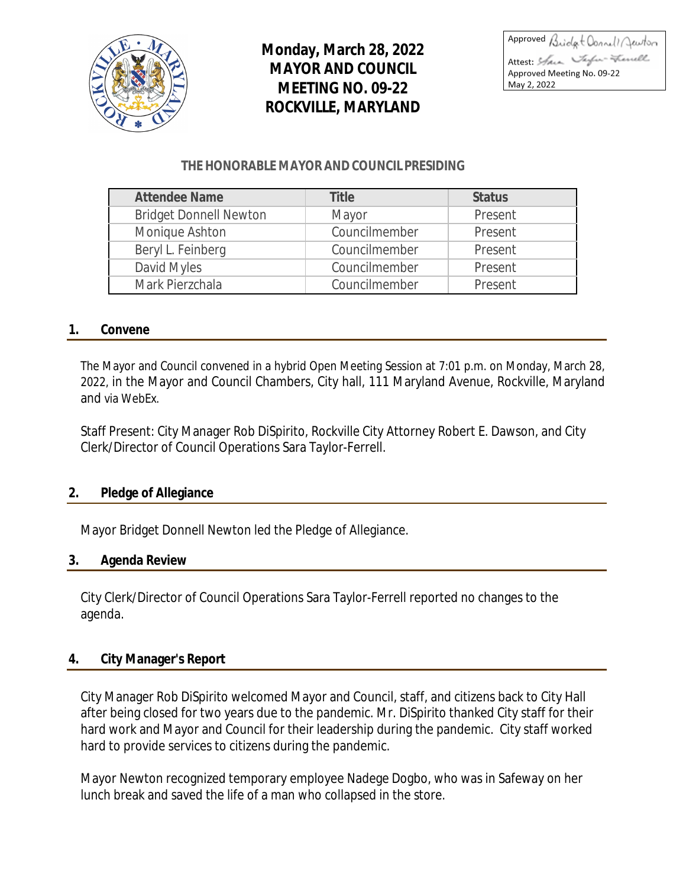

# **Monday, March 28, 2022 MAYOR AND COUNCIL MEETING NO. 09-22 ROCKVILLE, MARYLAND**

Approved Bridget Connell Jewton Attest: Shan Taylor-Frencell Approved Meeting No. 09-22 May 2, 2022

# **THE HONORABLE MAYOR AND COUNCIL PRESIDING**

| <b>Attendee Name</b>          | Title         | <b>Status</b> |
|-------------------------------|---------------|---------------|
| <b>Bridget Donnell Newton</b> | Mayor         | Present       |
| Monique Ashton                | Councilmember | Present       |
| Beryl L. Feinberg             | Councilmember | Present       |
| David Myles                   | Councilmember | Present       |
| Mark Pierzchala               | Councilmember | Present       |

# **1. Convene**

The Mayor and Council convened in a hybrid Open Meeting Session at 7:01 p.m. on Monday, March 28, 2022, in the Mayor and Council Chambers, City hall, 111 Maryland Avenue, Rockville, Maryland and via WebEx.

Staff Present: City Manager Rob DiSpirito, Rockville City Attorney Robert E. Dawson, and City Clerk/Director of Council Operations Sara Taylor-Ferrell.

#### **2. Pledge of Allegiance**

Mayor Bridget Donnell Newton led the Pledge of Allegiance.

#### **3. Agenda Review**

City Clerk/Director of Council Operations Sara Taylor-Ferrell reported no changes to the agenda.

# **4. City Manager's Report**

City Manager Rob DiSpirito welcomed Mayor and Council, staff, and citizens back to City Hall after being closed for two years due to the pandemic. Mr. DiSpirito thanked City staff for their hard work and Mayor and Council for their leadership during the pandemic. City staff worked hard to provide services to citizens during the pandemic.

Mayor Newton recognized temporary employee Nadege Dogbo, who was in Safeway on her lunch break and saved the life of a man who collapsed in the store.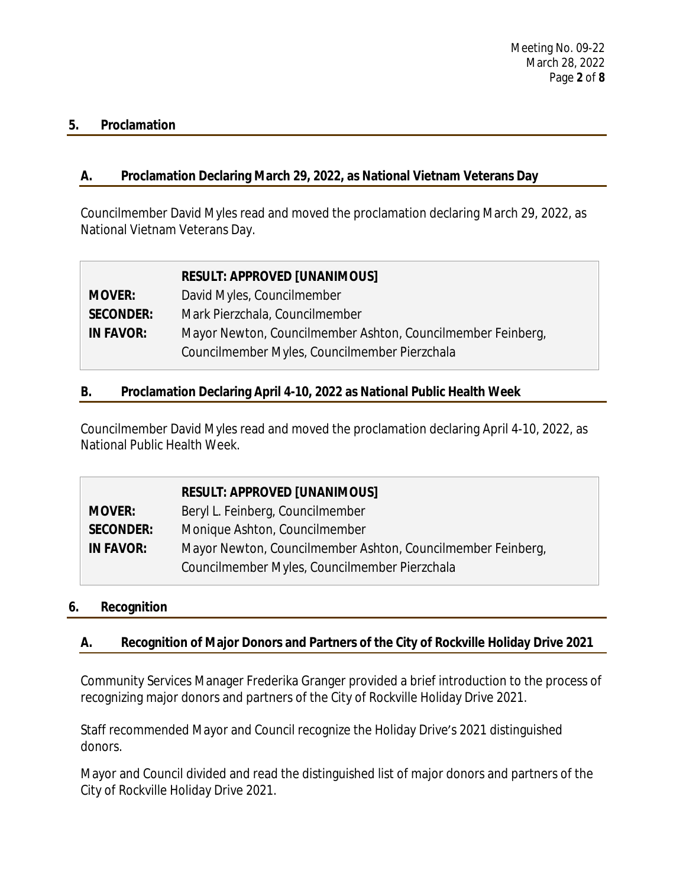### **5. Proclamation**

# **A. Proclamation Declaring March 29, 2022, as National Vietnam Veterans Day**

Councilmember David Myles read and moved the proclamation declaring March 29, 2022, as National Vietnam Veterans Day.

|                  | <b>RESULT: APPROVED [UNANIMOUS]</b>                         |
|------------------|-------------------------------------------------------------|
| <b>MOVER:</b>    | David Myles, Councilmember                                  |
| <b>SECONDER:</b> | Mark Pierzchala, Councilmember                              |
| <b>IN FAVOR:</b> | Mayor Newton, Councilmember Ashton, Councilmember Feinberg, |
|                  | Councilmember Myles, Councilmember Pierzchala               |

# **B. Proclamation Declaring April 4-10, 2022 as National Public Health Week**

Councilmember David Myles read and moved the proclamation declaring April 4-10, 2022, as National Public Health Week.

|                  | <b>RESULT: APPROVED [UNANIMOUS]</b>                         |
|------------------|-------------------------------------------------------------|
| <b>MOVER:</b>    | Beryl L. Feinberg, Councilmember                            |
| <b>SECONDER:</b> | Monique Ashton, Councilmember                               |
| <b>IN FAVOR:</b> | Mayor Newton, Councilmember Ashton, Councilmember Feinberg, |
|                  | Councilmember Myles, Councilmember Pierzchala               |

# **6. Recognition**

# **A. Recognition of Major Donors and Partners of the City of Rockville Holiday Drive 2021**

Community Services Manager Frederika Granger provided a brief introduction to the process of recognizing major donors and partners of the City of Rockville Holiday Drive 2021.

Staff recommended Mayor and Council recognize the Holiday Drive's 2021 distinguished donors.

Mayor and Council divided and read the distinguished list of major donors and partners of the City of Rockville Holiday Drive 2021.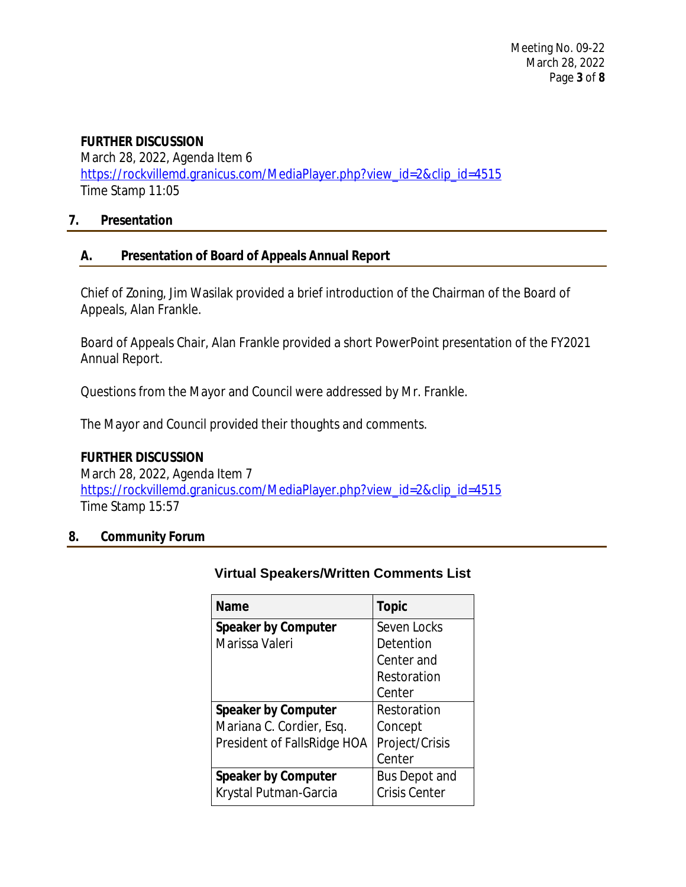# **FURTHER DISCUSSION**

March 28, 2022, Agenda Item 6 [https://rockvillemd.granicus.com/MediaPlayer.php?view\\_id=2&clip\\_id=4515](https://rockvillemd.granicus.com/MediaPlayer.php?view_id=2&clip_id=4515) [Time Stamp 11:05](https://rockvillemd.granicus.com/MediaPlayer.php?view_id=2&clip_id=4515)

# **[7.](https://rockvillemd.granicus.com/MediaPlayer.php?view_id=2&clip_id=4515) [Presentation](https://rockvillemd.granicus.com/MediaPlayer.php?view_id=2&clip_id=4515)**

# **[A.](https://rockvillemd.granicus.com/MediaPlayer.php?view_id=2&clip_id=4515) [Presentation of Board of Appeals Annual Report](https://rockvillemd.granicus.com/MediaPlayer.php?view_id=2&clip_id=4515)**

[Chief of Zoning, Jim Wasilak provided a brief introduction of the Chairman of the Board of](https://rockvillemd.granicus.com/MediaPlayer.php?view_id=2&clip_id=4515)  [Appeals, Alan Frankle.](https://rockvillemd.granicus.com/MediaPlayer.php?view_id=2&clip_id=4515)

[Board of Appeals Chair, Alan Frankle provided a short PowerPoint presentation of the FY2021](https://rockvillemd.granicus.com/MediaPlayer.php?view_id=2&clip_id=4515)  [Annual Report.](https://rockvillemd.granicus.com/MediaPlayer.php?view_id=2&clip_id=4515)

[Questions from the Mayor and Council were addressed by Mr. Frankle.](https://rockvillemd.granicus.com/MediaPlayer.php?view_id=2&clip_id=4515)

[The Mayor and Council provided their thoughts and comments.](https://rockvillemd.granicus.com/MediaPlayer.php?view_id=2&clip_id=4515)

# **[FURTHER DISCUSSION](https://rockvillemd.granicus.com/MediaPlayer.php?view_id=2&clip_id=4515)**

[March 28, 2022, Agenda Item 7](https://rockvillemd.granicus.com/MediaPlayer.php?view_id=2&clip_id=4515) [https://rockvillemd.granicus.com/MediaPlayer.php?view\\_id=2&clip\\_id=4515](https://rockvillemd.granicus.com/MediaPlayer.php?view_id=2&clip_id=4515) [Time Stamp 15:57](https://rockvillemd.granicus.com/MediaPlayer.php?view_id=2&clip_id=4515)

# **[8.](https://rockvillemd.granicus.com/MediaPlayer.php?view_id=2&clip_id=4515) [Community Forum](https://rockvillemd.granicus.com/MediaPlayer.php?view_id=2&clip_id=4515)**

| <b>Name</b>                 | <b>Topic</b>         |
|-----------------------------|----------------------|
| <b>Speaker by Computer</b>  | Seven Locks          |
| Marissa Valeri              | Detention            |
|                             | Center and           |
|                             | Restoration          |
|                             | Center               |
| <b>Speaker by Computer</b>  | Restoration          |
| Mariana C. Cordier, Esq.    | Concept              |
| President of FallsRidge HOA | Project/Crisis       |
|                             | Center               |
| <b>Speaker by Computer</b>  | <b>Bus Depot and</b> |
| Krystal Putman-Garcia       | <b>Crisis Center</b> |

# **[Virtual](https://rockvillemd.granicus.com/MediaPlayer.php?view_id=2&clip_id=4515) [Speakers/Written Comments List](https://rockvillemd.granicus.com/MediaPlayer.php?view_id=2&clip_id=4515)**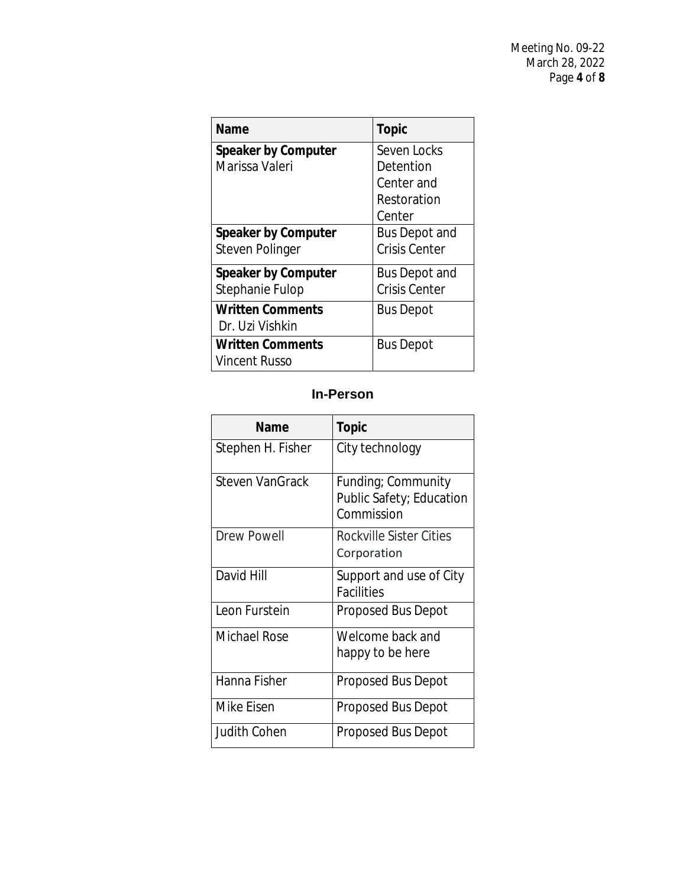| Name                       | <b>Topic</b>         |
|----------------------------|----------------------|
| <b>Speaker by Computer</b> | Seven Locks          |
| Marissa Valeri             | Detention            |
|                            | Center and           |
|                            | Restoration          |
|                            | Center               |
| <b>Speaker by Computer</b> | <b>Bus Depot and</b> |
| <b>Steven Polinger</b>     | <b>Crisis Center</b> |
| <b>Speaker by Computer</b> | <b>Bus Depot and</b> |
| Stephanie Fulop            | <b>Crisis Center</b> |
| <b>Written Comments</b>    | <b>Bus Depot</b>     |
| Dr. Uzi Vishkin            |                      |
| <b>Written Comments</b>    | <b>Bus Depot</b>     |
| Vincent Russo              |                      |

# **In-Person**

| Name                   | <b>Topic</b>                                                 |
|------------------------|--------------------------------------------------------------|
| Stephen H. Fisher      | City technology                                              |
| <b>Steven VanGrack</b> | Funding; Community<br>Public Safety; Education<br>Commission |
| <b>Drew Powell</b>     | Rockville Sister Cities<br>Corporation                       |
| David Hill             | Support and use of City<br><b>Facilities</b>                 |
| Leon Furstein          | Proposed Bus Depot                                           |
| Michael Rose           | Welcome back and<br>happy to be here                         |
| Hanna Fisher           | <b>Proposed Bus Depot</b>                                    |
| Mike Eisen             | Proposed Bus Depot                                           |
| Judith Cohen           | Proposed Bus Depot                                           |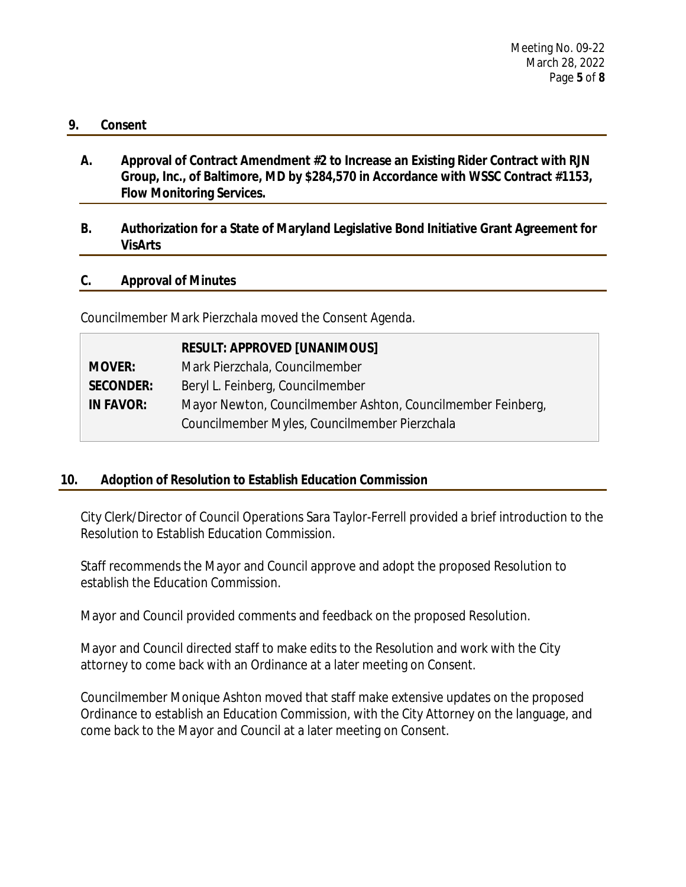#### **9. Consent**

**A. Approval of Contract Amendment #2 to Increase an Existing Rider Contract with RJN Group, Inc., of Baltimore, MD by \$284,570 in Accordance with WSSC Contract #1153, Flow Monitoring Services.**

# **B. Authorization for a State of Maryland Legislative Bond Initiative Grant Agreement for VisArts**

# **C. Approval of Minutes**

Councilmember Mark Pierzchala moved the Consent Agenda.

| <b>RESULT: APPROVED [UNANIMOUS]</b>                         |
|-------------------------------------------------------------|
| Mark Pierzchala, Councilmember                              |
| Beryl L. Feinberg, Councilmember                            |
| Mayor Newton, Councilmember Ashton, Councilmember Feinberg, |
| Councilmember Myles, Councilmember Pierzchala               |
|                                                             |

# **10. Adoption of Resolution to Establish Education Commission**

City Clerk/Director of Council Operations Sara Taylor-Ferrell provided a brief introduction to the Resolution to Establish Education Commission.

Staff recommends the Mayor and Council approve and adopt the proposed Resolution to establish the Education Commission.

Mayor and Council provided comments and feedback on the proposed Resolution.

Mayor and Council directed staff to make edits to the Resolution and work with the City attorney to come back with an Ordinance at a later meeting on Consent.

Councilmember Monique Ashton moved that staff make extensive updates on the proposed Ordinance to establish an Education Commission, with the City Attorney on the language, and come back to the Mayor and Council at a later meeting on Consent.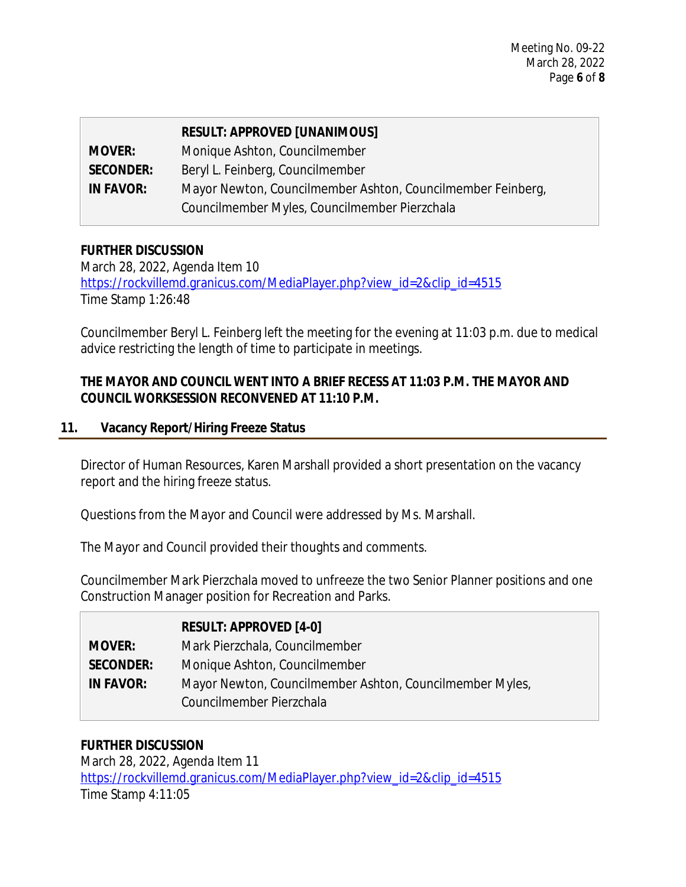|                  | <b>RESULT: APPROVED [UNANIMOUS]</b>                         |
|------------------|-------------------------------------------------------------|
| <b>MOVER:</b>    | Monique Ashton, Councilmember                               |
| <b>SECONDER:</b> | Beryl L. Feinberg, Councilmember                            |
| <b>IN FAVOR:</b> | Mayor Newton, Councilmember Ashton, Councilmember Feinberg, |
|                  | Councilmember Myles, Councilmember Pierzchala               |

# **FURTHER DISCUSSION**

March 28, 2022, Agenda Item 10 [https://rockvillemd.granicus.com/MediaPlayer.php?view\\_id=2&clip\\_id=4515](https://rockvillemd.granicus.com/MediaPlayer.php?view_id=2&clip_id=4515) [Time Stamp 1:26:48](https://rockvillemd.granicus.com/MediaPlayer.php?view_id=2&clip_id=4515)

[Councilmember Beryl L. Feinberg left the meeting for the evening at 11:03 p.m. due to medical](https://rockvillemd.granicus.com/MediaPlayer.php?view_id=2&clip_id=4515)  [advice restricting the length of time to participate](https://rockvillemd.granicus.com/MediaPlayer.php?view_id=2&clip_id=4515) [in meetings.](https://rockvillemd.granicus.com/MediaPlayer.php?view_id=2&clip_id=4515)

# **[THE](https://rockvillemd.granicus.com/MediaPlayer.php?view_id=2&clip_id=4515) [MAYOR AND COUNCIL WENT INTO A BRIEF RECESS AT 11:03 P.M.](https://rockvillemd.granicus.com/MediaPlayer.php?view_id=2&clip_id=4515) [THE MAYOR AND](https://rockvillemd.granicus.com/MediaPlayer.php?view_id=2&clip_id=4515)  [COUNCIL WORKSESSION RECONVENED AT 11:10 P.M.](https://rockvillemd.granicus.com/MediaPlayer.php?view_id=2&clip_id=4515)**

# **[11.](https://rockvillemd.granicus.com/MediaPlayer.php?view_id=2&clip_id=4515) [Vacancy Report/Hiring Freeze Status](https://rockvillemd.granicus.com/MediaPlayer.php?view_id=2&clip_id=4515)**

[Director of Human Resources, Karen Marshall provided a short presentation on the](https://rockvillemd.granicus.com/MediaPlayer.php?view_id=2&clip_id=4515) [vacancy](https://rockvillemd.granicus.com/MediaPlayer.php?view_id=2&clip_id=4515)  [report and the hiring freeze status.](https://rockvillemd.granicus.com/MediaPlayer.php?view_id=2&clip_id=4515)

[Questions from the Mayor and Council were addressed by Ms.](https://rockvillemd.granicus.com/MediaPlayer.php?view_id=2&clip_id=4515) [Marshall.](https://rockvillemd.granicus.com/MediaPlayer.php?view_id=2&clip_id=4515)

[The Mayor and Council provided their thoughts and comments.](https://rockvillemd.granicus.com/MediaPlayer.php?view_id=2&clip_id=4515)

[Councilmember Mark Pierzchala](https://rockvillemd.granicus.com/MediaPlayer.php?view_id=2&clip_id=4515) [moved to unfreeze the two Senior Planner](https://rockvillemd.granicus.com/MediaPlayer.php?view_id=2&clip_id=4515) [positions and one](https://rockvillemd.granicus.com/MediaPlayer.php?view_id=2&clip_id=4515)  [Construction Manager position for Recreation and Parks.](https://rockvillemd.granicus.com/MediaPlayer.php?view_id=2&clip_id=4515)

|                  | <b>RESULT: APPROVED [4-0]</b>                            |
|------------------|----------------------------------------------------------|
| <b>MOVER:</b>    | Mark Pierzchala, Councilmember                           |
| <b>SECONDER:</b> | Monique Ashton, Councilmember                            |
| <b>IN FAVOR:</b> | Mayor Newton, Councilmember Ashton, Councilmember Myles, |
|                  | Councilmember Pierzchala                                 |

# **[FURTHER DISCUSSION](https://rockvillemd.granicus.com/MediaPlayer.php?view_id=2&clip_id=4515)**

[March 28, 2022, Agenda Item 11](https://rockvillemd.granicus.com/MediaPlayer.php?view_id=2&clip_id=4515) [https://rockvillemd.granicus.com/MediaPlayer.php?view\\_id=2&clip\\_id=4515](https://rockvillemd.granicus.com/MediaPlayer.php?view_id=2&clip_id=4515) [Time Stamp 4:11:05](https://rockvillemd.granicus.com/MediaPlayer.php?view_id=2&clip_id=4515)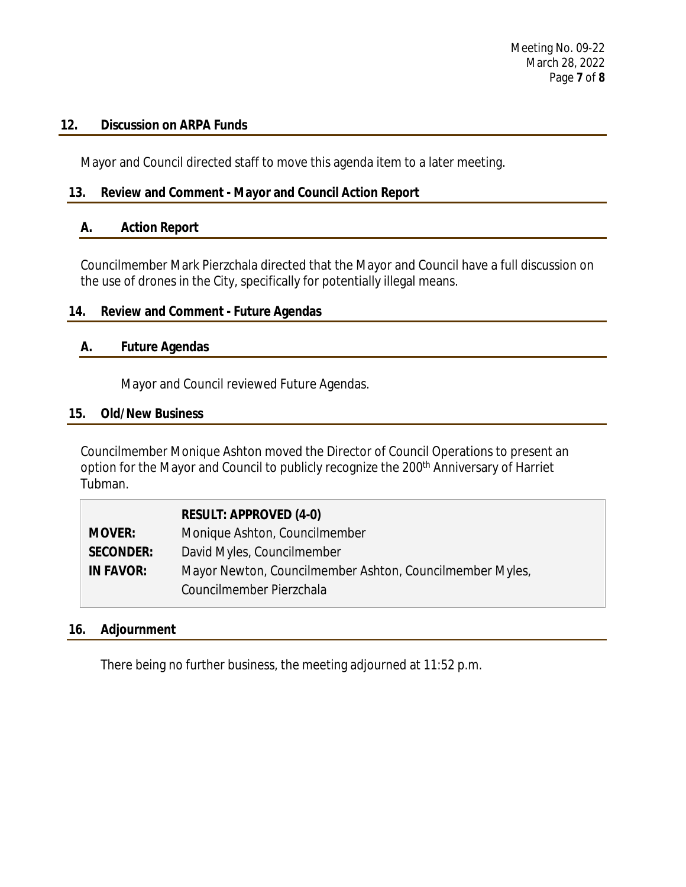### **12. Discussion on ARPA Funds**

Mayor and Council directed staff to move this agenda item to a later meeting.

# **13. Review and Comment - Mayor and Council Action Report**

### **A. Action Report**

Councilmember Mark Pierzchala directed that the Mayor and Council have a full discussion on the use of drones in the City, specifically for potentially illegal means.

# **14. Review and Comment - Future Agendas**

# **A. Future Agendas**

Mayor and Council reviewed Future Agendas.

### **15. Old/New Business**

Councilmember Monique Ashton moved the Director of Council Operations to present an option for the Mayor and Council to publicly recognize the 200<sup>th</sup> Anniversary of Harriet Tubman.

|                  | <b>RESULT: APPROVED (4-0)</b>                            |
|------------------|----------------------------------------------------------|
| <b>MOVER:</b>    | Monique Ashton, Councilmember                            |
| <b>SECONDER:</b> | David Myles, Councilmember                               |
| <b>IN FAVOR:</b> | Mayor Newton, Councilmember Ashton, Councilmember Myles, |
|                  | Councilmember Pierzchala                                 |

# **16. Adjournment**

There being no further business, the meeting adjourned at 11:52 p.m.